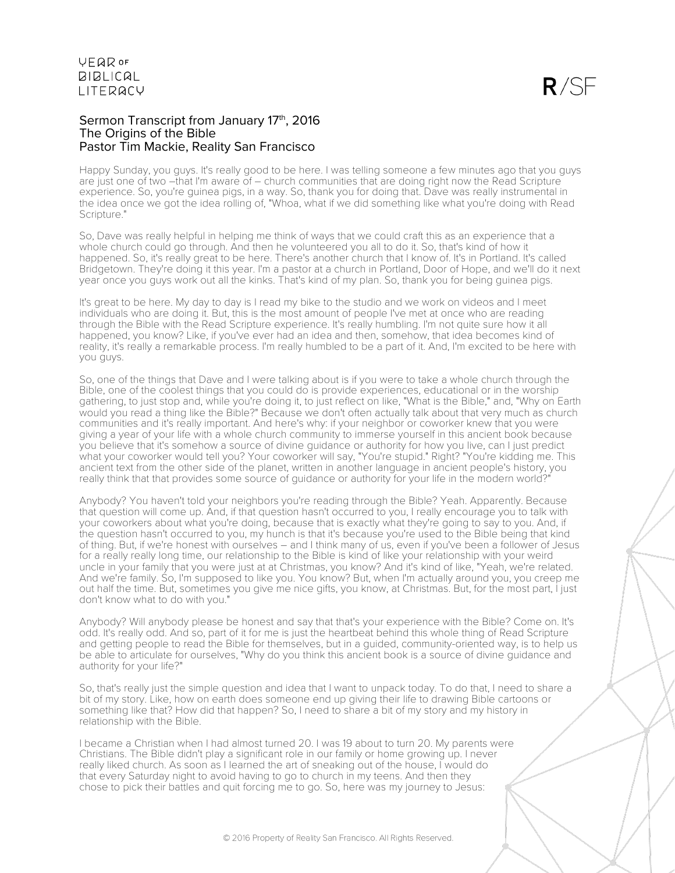### Sermon Transcript from January 17th, 2016 The Origins of the Bible Pastor Tim Mackie, Reality San Francisco

Happy Sunday, you guys. It's really good to be here. I was telling someone a few minutes ago that you guys are just one of two –that I'm aware of – church communities that are doing right now the Read Scripture experience. So, you're guinea pigs, in a way. So, thank you for doing that. Dave was really instrumental in the idea once we got the idea rolling of, "Whoa, what if we did something like what you're doing with Read Scripture."

So, Dave was really helpful in helping me think of ways that we could craft this as an experience that a whole church could go through. And then he volunteered you all to do it. So, that's kind of how it happened. So, it's really great to be here. There's another church that I know of. It's in Portland. It's called Bridgetown. They're doing it this year. I'm a pastor at a church in Portland, Door of Hope, and we'll do it next year once you guys work out all the kinks. That's kind of my plan. So, thank you for being guinea pigs.

It's great to be here. My day to day is I read my bike to the studio and we work on videos and I meet individuals who are doing it. But, this is the most amount of people I've met at once who are reading through the Bible with the Read Scripture experience. It's really humbling. I'm not quite sure how it all happened, you know? Like, if you've ever had an idea and then, somehow, that idea becomes kind of reality, it's really a remarkable process. I'm really humbled to be a part of it. And, I'm excited to be here with you guys.

So, one of the things that Dave and I were talking about is if you were to take a whole church through the Bible, one of the coolest things that you could do is provide experiences, educational or in the worship gathering, to just stop and, while you're doing it, to just reflect on like, "What is the Bible," and, "Why on Earth would you read a thing like the Bible?" Because we don't often actually talk about that very much as church communities and it's really important. And here's why: if your neighbor or coworker knew that you were giving a year of your life with a whole church community to immerse yourself in this ancient book because you believe that it's somehow a source of divine guidance or authority for how you live, can I just predict what your coworker would tell you? Your coworker will say, "You're stupid." Right? "You're kidding me. This ancient text from the other side of the planet, written in another language in ancient people's history, you really think that that provides some source of guidance or authority for your life in the modern world?"

Anybody? You haven't told your neighbors you're reading through the Bible? Yeah. Apparently. Because that question will come up. And, if that question hasn't occurred to you, I really encourage you to talk with your coworkers about what you're doing, because that is exactly what they're going to say to you. And, if the question hasn't occurred to you, my hunch is that it's because you're used to the Bible being that kind of thing. But, if we're honest with ourselves – and I think many of us, even if you've been a follower of Jesus for a really really long time, our relationship to the Bible is kind of like your relationship with your weird uncle in your family that you were just at at Christmas, you know? And it's kind of like, "Yeah, we're related. And we're family. So, I'm supposed to like you. You know? But, when I'm actually around you, you creep me out half the time. But, sometimes you give me nice gifts, you know, at Christmas. But, for the most part, I just don't know what to do with you."

Anybody? Will anybody please be honest and say that that's your experience with the Bible? Come on. It's odd. It's really odd. And so, part of it for me is just the heartbeat behind this whole thing of Read Scripture and getting people to read the Bible for themselves, but in a guided, community-oriented way, is to help us be able to articulate for ourselves, "Why do you think this ancient book is a source of divine guidance and authority for your life?"

So, that's really just the simple question and idea that I want to unpack today. To do that, I need to share a bit of my story. Like, how on earth does someone end up giving their life to drawing Bible cartoons or something like that? How did that happen? So, I need to share a bit of my story and my history in relationship with the Bible.

I became a Christian when I had almost turned 20. I was 19 about to turn 20. My parents were Christians. The Bible didn't play a significant role in our family or home growing up. I never really liked church. As soon as I learned the art of sneaking out of the house, I would do that every Saturday night to avoid having to go to church in my teens. And then they chose to pick their battles and quit forcing me to go. So, here was my journey to Jesus: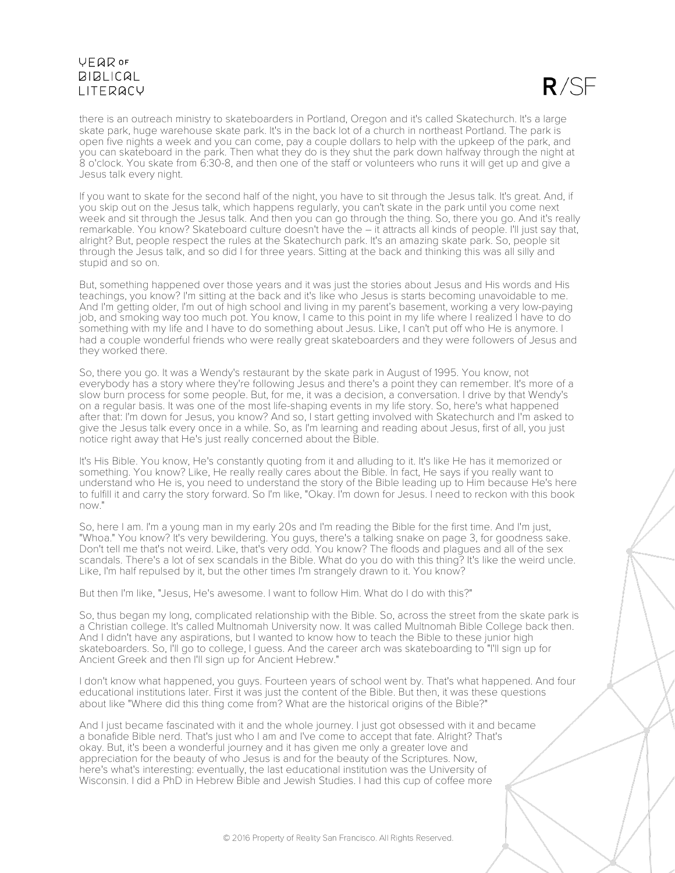$R / S$ 

there is an outreach ministry to skateboarders in Portland, Oregon and it's called Skatechurch. It's a large skate park, huge warehouse skate park. It's in the back lot of a church in northeast Portland. The park is open five nights a week and you can come, pay a couple dollars to help with the upkeep of the park, and you can skateboard in the park. Then what they do is they shut the park down halfway through the night at 8 o'clock. You skate from 6:30-8, and then one of the staff or volunteers who runs it will get up and give a Jesus talk every night.

If you want to skate for the second half of the night, you have to sit through the Jesus talk. It's great. And, if you skip out on the Jesus talk, which happens regularly, you can't skate in the park until you come next week and sit through the Jesus talk. And then you can go through the thing. So, there you go. And it's really remarkable. You know? Skateboard culture doesn't have the – it attracts all kinds of people. I'll just say that, alright? But, people respect the rules at the Skatechurch park. It's an amazing skate park. So, people sit through the Jesus talk, and so did I for three years. Sitting at the back and thinking this was all silly and stupid and so on.

But, something happened over those years and it was just the stories about Jesus and His words and His teachings, you know? I'm sitting at the back and it's like who Jesus is starts becoming unavoidable to me. And I'm getting older, I'm out of high school and living in my parent's basement, working a very low-paying job, and smoking way too much pot. You know, I came to this point in my life where I realized I have to do something with my life and I have to do something about Jesus. Like, I can't put off who He is anymore. I had a couple wonderful friends who were really great skateboarders and they were followers of Jesus and they worked there.

So, there you go. It was a Wendy's restaurant by the skate park in August of 1995. You know, not everybody has a story where they're following Jesus and there's a point they can remember. It's more of a slow burn process for some people. But, for me, it was a decision, a conversation. I drive by that Wendy's on a regular basis. It was one of the most life-shaping events in my life story. So, here's what happened after that: I'm down for Jesus, you know? And so, I start getting involved with Skatechurch and I'm asked to give the Jesus talk every once in a while. So, as I'm learning and reading about Jesus, first of all, you just notice right away that He's just really concerned about the Bible.

It's His Bible. You know, He's constantly quoting from it and alluding to it. It's like He has it memorized or something. You know? Like, He really really cares about the Bible. In fact, He says if you really want to understand who He is, you need to understand the story of the Bible leading up to Him because He's here to fulfill it and carry the story forward. So I'm like, "Okay. I'm down for Jesus. I need to reckon with this book now."

So, here I am. I'm a young man in my early 20s and I'm reading the Bible for the first time. And I'm just, "Whoa." You know? It's very bewildering. You guys, there's a talking snake on page 3, for goodness sake. Don't tell me that's not weird. Like, that's very odd. You know? The floods and plagues and all of the sex scandals. There's a lot of sex scandals in the Bible. What do you do with this thing? It's like the weird uncle. Like, I'm half repulsed by it, but the other times I'm strangely drawn to it. You know?

But then I'm like, "Jesus, He's awesome. I want to follow Him. What do I do with this?"

So, thus began my long, complicated relationship with the Bible. So, across the street from the skate park is a Christian college. It's called Multnomah University now. It was called Multnomah Bible College back then. And I didn't have any aspirations, but I wanted to know how to teach the Bible to these junior high skateboarders. So, I'll go to college, I guess. And the career arch was skateboarding to "I'll sign up for Ancient Greek and then I'll sign up for Ancient Hebrew."

I don't know what happened, you guys. Fourteen years of school went by. That's what happened. And four educational institutions later. First it was just the content of the Bible. But then, it was these questions about like "Where did this thing come from? What are the historical origins of the Bible?"

And I just became fascinated with it and the whole journey. I just got obsessed with it and became a bonafide Bible nerd. That's just who I am and I've come to accept that fate. Alright? That's okay. But, it's been a wonderful journey and it has given me only a greater love and appreciation for the beauty of who Jesus is and for the beauty of the Scriptures. Now, here's what's interesting: eventually, the last educational institution was the University of Wisconsin. I did a PhD in Hebrew Bible and Jewish Studies. I had this cup of coffee more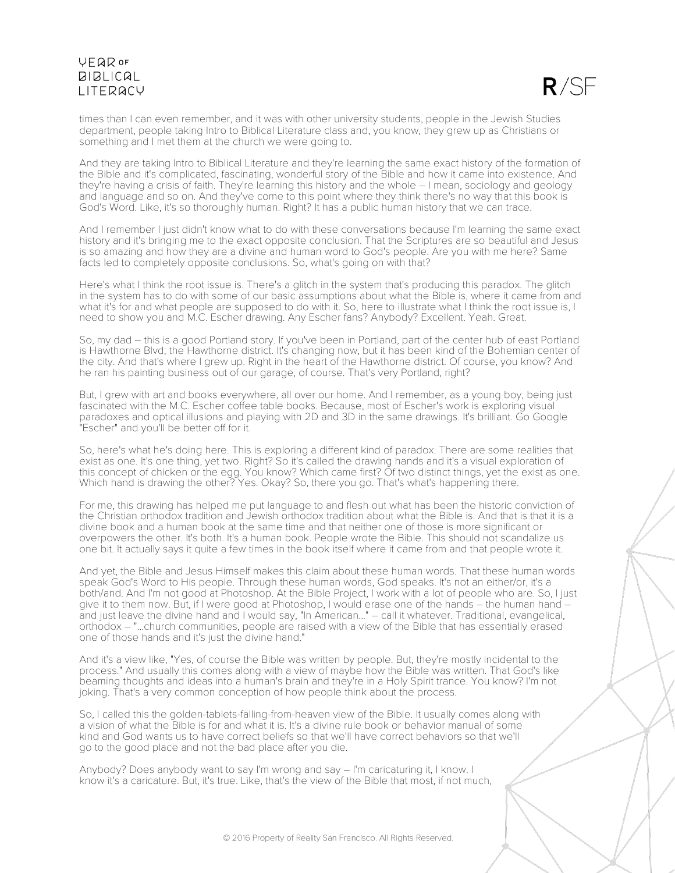# UFQDOF **BIBLICAL I ITFRACY**



times than I can even remember, and it was with other university students, people in the Jewish Studies department, people taking Intro to Biblical Literature class and, you know, they grew up as Christians or something and I met them at the church we were going to.

And they are taking Intro to Biblical Literature and they're learning the same exact history of the formation of the Bible and it's complicated, fascinating, wonderful story of the Bible and how it came into existence. And they're having a crisis of faith. They're learning this history and the whole – I mean, sociology and geology and language and so on. And they've come to this point where they think there's no way that this book is God's Word. Like, it's so thoroughly human. Right? It has a public human history that we can trace.

And I remember I just didn't know what to do with these conversations because I'm learning the same exact history and it's bringing me to the exact opposite conclusion. That the Scriptures are so beautiful and Jesus is so amazing and how they are a divine and human word to God's people. Are you with me here? Same facts led to completely opposite conclusions. So, what's going on with that?

Here's what I think the root issue is. There's a glitch in the system that's producing this paradox. The glitch in the system has to do with some of our basic assumptions about what the Bible is, where it came from and what it's for and what people are supposed to do with it. So, here to illustrate what I think the root issue is, I need to show you and M.C. Escher drawing. Any Escher fans? Anybody? Excellent. Yeah. Great.

So, my dad – this is a good Portland story. If you've been in Portland, part of the center hub of east Portland is Hawthorne Blvd; the Hawthorne district. It's changing now, but it has been kind of the Bohemian center of the city. And that's where I grew up. Right in the heart of the Hawthorne district. Of course, you know? And he ran his painting business out of our garage, of course. That's very Portland, right?

But, I grew with art and books everywhere, all over our home. And I remember, as a young boy, being just fascinated with the M.C. Escher coffee table books. Because, most of Escher's work is exploring visual paradoxes and optical illusions and playing with 2D and 3D in the same drawings. It's brilliant. Go Google "Escher" and you'll be better off for it.

So, here's what he's doing here. This is exploring a different kind of paradox. There are some realities that exist as one. It's one thing, yet two. Right? So it's called the drawing hands and it's a visual exploration of this concept of chicken or the egg. You know? Which came first? Of two distinct things, yet the exist as one. Which hand is drawing the other? Yes. Okay? So, there you go. That's what's happening there.

For me, this drawing has helped me put language to and flesh out what has been the historic conviction of the Christian orthodox tradition and Jewish orthodox tradition about what the Bible is. And that is that it is a divine book and a human book at the same time and that neither one of those is more significant or overpowers the other. It's both. It's a human book. People wrote the Bible. This should not scandalize us one bit. It actually says it quite a few times in the book itself where it came from and that people wrote it.

And yet, the Bible and Jesus Himself makes this claim about these human words. That these human words speak God's Word to His people. Through these human words, God speaks. It's not an either/or, it's a both/and. And I'm not good at Photoshop. At the Bible Project, I work with a lot of people who are. So, I just give it to them now. But, if I were good at Photoshop, I would erase one of the hands – the human hand – and just leave the divine hand and I would say, "In American..." – call it whatever. Traditional, evangelical, orthodox – "...church communities, people are raised with a view of the Bible that has essentially erased one of those hands and it's just the divine hand."

And it's a view like, "Yes, of course the Bible was written by people. But, they're mostly incidental to the process." And usually this comes along with a view of maybe how the Bible was written. That God's like beaming thoughts and ideas into a human's brain and they're in a Holy Spirit trance. You know? I'm not joking. That's a very common conception of how people think about the process.

So, I called this the golden-tablets-falling-from-heaven view of the Bible. It usually comes along with a vision of what the Bible is for and what it is. It's a divine rule book or behavior manual of some kind and God wants us to have correct beliefs so that we'll have correct behaviors so that we'll go to the good place and not the bad place after you die.

Anybody? Does anybody want to say I'm wrong and say – I'm caricaturing it, I know. I know it's a caricature. But, it's true. Like, that's the view of the Bible that most, if not much,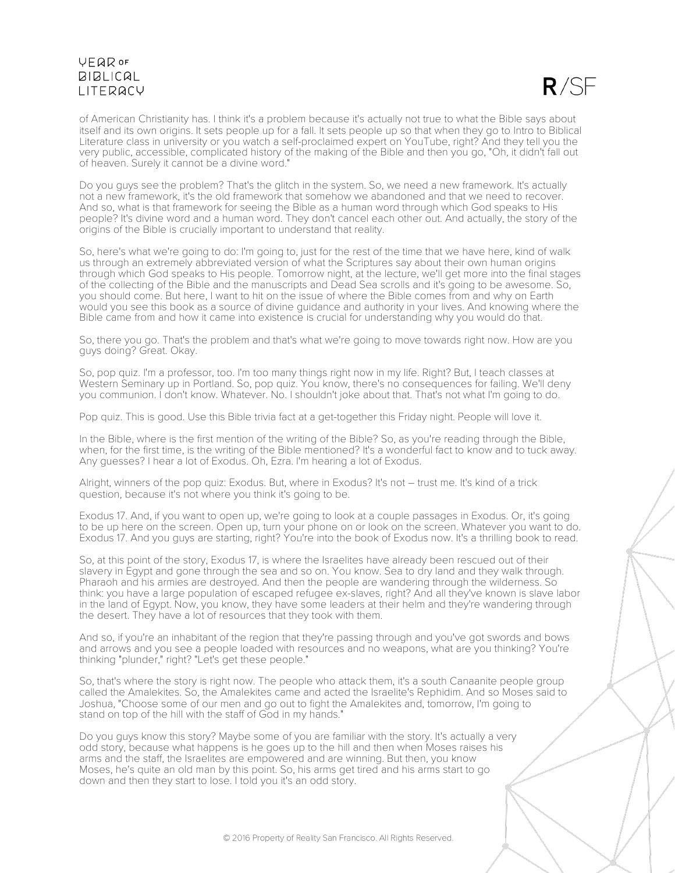$R / S$ 

of American Christianity has. I think it's a problem because it's actually not true to what the Bible says about itself and its own origins. It sets people up for a fall. It sets people up so that when they go to Intro to Biblical Literature class in university or you watch a self-proclaimed expert on YouTube, right? And they tell you the very public, accessible, complicated history of the making of the Bible and then you go, "Oh, it didn't fall out of heaven. Surely it cannot be a divine word."

Do you guys see the problem? That's the glitch in the system. So, we need a new framework. It's actually not a new framework, it's the old framework that somehow we abandoned and that we need to recover. And so, what is that framework for seeing the Bible as a human word through which God speaks to His people? It's divine word and a human word. They don't cancel each other out. And actually, the story of the origins of the Bible is crucially important to understand that reality.

So, here's what we're going to do: I'm going to, just for the rest of the time that we have here, kind of walk us through an extremely abbreviated version of what the Scriptures say about their own human origins through which God speaks to His people. Tomorrow night, at the lecture, we'll get more into the final stages of the collecting of the Bible and the manuscripts and Dead Sea scrolls and it's going to be awesome. So, you should come. But here, I want to hit on the issue of where the Bible comes from and why on Earth would you see this book as a source of divine guidance and authority in your lives. And knowing where the Bible came from and how it came into existence is crucial for understanding why you would do that.

So, there you go. That's the problem and that's what we're going to move towards right now. How are you guys doing? Great. Okay.

So, pop quiz. I'm a professor, too. I'm too many things right now in my life. Right? But, I teach classes at Western Seminary up in Portland. So, pop quiz. You know, there's no consequences for failing. We'll deny you communion. I don't know. Whatever. No. I shouldn't joke about that. That's not what I'm going to do.

Pop quiz. This is good. Use this Bible trivia fact at a get-together this Friday night. People will love it.

In the Bible, where is the first mention of the writing of the Bible? So, as you're reading through the Bible, when, for the first time, is the writing of the Bible mentioned? It's a wonderful fact to know and to tuck away. Any guesses? I hear a lot of Exodus. Oh, Ezra. I'm hearing a lot of Exodus.

Alright, winners of the pop quiz: Exodus. But, where in Exodus? It's not – trust me. It's kind of a trick question, because it's not where you think it's going to be.

Exodus 17. And, if you want to open up, we're going to look at a couple passages in Exodus. Or, it's going to be up here on the screen. Open up, turn your phone on or look on the screen. Whatever you want to do. Exodus 17. And you guys are starting, right? You're into the book of Exodus now. It's a thrilling book to read.

So, at this point of the story, Exodus 17, is where the Israelites have already been rescued out of their slavery in Egypt and gone through the sea and so on. You know. Sea to dry land and they walk through. Pharaoh and his armies are destroyed. And then the people are wandering through the wilderness. So think: you have a large population of escaped refugee ex-slaves, right? And all they've known is slave labor in the land of Egypt. Now, you know, they have some leaders at their helm and they're wandering through the desert. They have a lot of resources that they took with them.

And so, if you're an inhabitant of the region that they're passing through and you've got swords and bows and arrows and you see a people loaded with resources and no weapons, what are you thinking? You're thinking "plunder," right? "Let's get these people."

So, that's where the story is right now. The people who attack them, it's a south Canaanite people group called the Amalekites. So, the Amalekites came and acted the Israelite's Rephidim. And so Moses said to Joshua, "Choose some of our men and go out to fight the Amalekites and, tomorrow, I'm going to stand on top of the hill with the staff of God in my hands."

Do you guys know this story? Maybe some of you are familiar with the story. It's actually a very odd story, because what happens is he goes up to the hill and then when Moses raises his arms and the staff, the Israelites are empowered and are winning. But then, you know Moses, he's quite an old man by this point. So, his arms get tired and his arms start to go down and then they start to lose. I told you it's an odd story.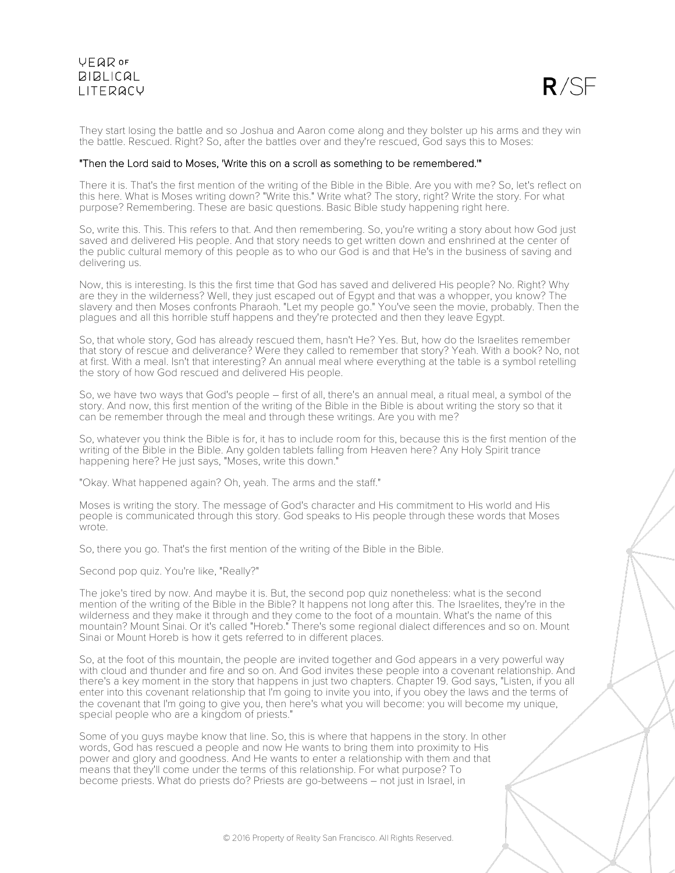### UFQDOF **BIBLICAL I ITFRACY**



They start losing the battle and so Joshua and Aaron come along and they bolster up his arms and they win the battle. Rescued. Right? So, after the battles over and they're rescued, God says this to Moses:

#### "Then the Lord said to Moses, 'Write this on a scroll as something to be remembered.'"

There it is. That's the first mention of the writing of the Bible in the Bible. Are you with me? So, let's reflect on this here. What is Moses writing down? "Write this." Write what? The story, right? Write the story. For what purpose? Remembering. These are basic questions. Basic Bible study happening right here.

So, write this. This. This refers to that. And then remembering. So, you're writing a story about how God just saved and delivered His people. And that story needs to get written down and enshrined at the center of the public cultural memory of this people as to who our God is and that He's in the business of saving and delivering us.

Now, this is interesting. Is this the first time that God has saved and delivered His people? No. Right? Why are they in the wilderness? Well, they just escaped out of Egypt and that was a whopper, you know? The slavery and then Moses confronts Pharaoh. "Let my people go." You've seen the movie, probably. Then the plagues and all this horrible stuff happens and they're protected and then they leave Egypt.

So, that whole story, God has already rescued them, hasn't He? Yes. But, how do the Israelites remember that story of rescue and deliverance? Were they called to remember that story? Yeah. With a book? No, not at first. With a meal. Isn't that interesting? An annual meal where everything at the table is a symbol retelling the story of how God rescued and delivered His people.

So, we have two ways that God's people – first of all, there's an annual meal, a ritual meal, a symbol of the story. And now, this first mention of the writing of the Bible in the Bible is about writing the story so that it can be remember through the meal and through these writings. Are you with me?

So, whatever you think the Bible is for, it has to include room for this, because this is the first mention of the writing of the Bible in the Bible. Any golden tablets falling from Heaven here? Any Holy Spirit trance happening here? He just says, "Moses, write this down."

"Okay. What happened again? Oh, yeah. The arms and the staff."

Moses is writing the story. The message of God's character and His commitment to His world and His people is communicated through this story. God speaks to His people through these words that Moses wrote.

So, there you go. That's the first mention of the writing of the Bible in the Bible.

Second pop quiz. You're like, "Really?"

The joke's tired by now. And maybe it is. But, the second pop quiz nonetheless: what is the second mention of the writing of the Bible in the Bible? It happens not long after this. The Israelites, they're in the wilderness and they make it through and they come to the foot of a mountain. What's the name of this mountain? Mount Sinai. Or it's called "Horeb." There's some regional dialect differences and so on. Mount Sinai or Mount Horeb is how it gets referred to in different places.

So, at the foot of this mountain, the people are invited together and God appears in a very powerful way with cloud and thunder and fire and so on. And God invites these people into a covenant relationship. And there's a key moment in the story that happens in just two chapters. Chapter 19. God says, "Listen, if you all enter into this covenant relationship that I'm going to invite you into, if you obey the laws and the terms of the covenant that I'm going to give you, then here's what you will become: you will become my unique, special people who are a kingdom of priests."

Some of you guys maybe know that line. So, this is where that happens in the story. In other words, God has rescued a people and now He wants to bring them into proximity to His power and glory and goodness. And He wants to enter a relationship with them and that means that they'll come under the terms of this relationship. For what purpose? To become priests. What do priests do? Priests are go-betweens – not just in Israel, in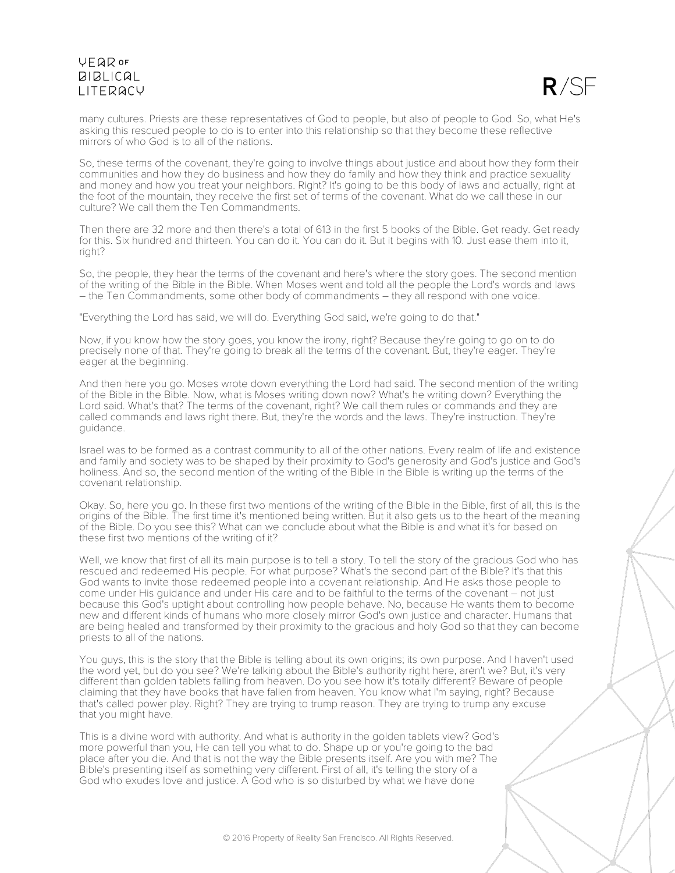

many cultures. Priests are these representatives of God to people, but also of people to God. So, what He's asking this rescued people to do is to enter into this relationship so that they become these reflective mirrors of who God is to all of the nations.

So, these terms of the covenant, they're going to involve things about justice and about how they form their communities and how they do business and how they do family and how they think and practice sexuality and money and how you treat your neighbors. Right? It's going to be this body of laws and actually, right at the foot of the mountain, they receive the first set of terms of the covenant. What do we call these in our culture? We call them the Ten Commandments.

Then there are 32 more and then there's a total of 613 in the first 5 books of the Bible. Get ready. Get ready for this. Six hundred and thirteen. You can do it. You can do it. But it begins with 10. Just ease them into it, right?

So, the people, they hear the terms of the covenant and here's where the story goes. The second mention of the writing of the Bible in the Bible. When Moses went and told all the people the Lord's words and laws – the Ten Commandments, some other body of commandments – they all respond with one voice.

"Everything the Lord has said, we will do. Everything God said, we're going to do that."

Now, if you know how the story goes, you know the irony, right? Because they're going to go on to do precisely none of that. They're going to break all the terms of the covenant. But, they're eager. They're eager at the beginning.

And then here you go. Moses wrote down everything the Lord had said. The second mention of the writing of the Bible in the Bible. Now, what is Moses writing down now? What's he writing down? Everything the Lord said. What's that? The terms of the covenant, right? We call them rules or commands and they are called commands and laws right there. But, they're the words and the laws. They're instruction. They're guidance.

Israel was to be formed as a contrast community to all of the other nations. Every realm of life and existence and family and society was to be shaped by their proximity to God's generosity and God's justice and God's holiness. And so, the second mention of the writing of the Bible in the Bible is writing up the terms of the covenant relationship.

Okay. So, here you go. In these first two mentions of the writing of the Bible in the Bible, first of all, this is the origins of the Bible. The first time it's mentioned being written. But it also gets us to the heart of the meaning of the Bible. Do you see this? What can we conclude about what the Bible is and what it's for based on these first two mentions of the writing of it?

Well, we know that first of all its main purpose is to tell a story. To tell the story of the gracious God who has rescued and redeemed His people. For what purpose? What's the second part of the Bible? It's that this God wants to invite those redeemed people into a covenant relationship. And He asks those people to come under His guidance and under His care and to be faithful to the terms of the covenant – not just because this God's uptight about controlling how people behave. No, because He wants them to become new and different kinds of humans who more closely mirror God's own justice and character. Humans that are being healed and transformed by their proximity to the gracious and holy God so that they can become priests to all of the nations.

You guys, this is the story that the Bible is telling about its own origins; its own purpose. And I haven't used the word yet, but do you see? We're talking about the Bible's authority right here, aren't we? But, it's very different than golden tablets falling from heaven. Do you see how it's totally different? Beware of people claiming that they have books that have fallen from heaven. You know what I'm saying, right? Because that's called power play. Right? They are trying to trump reason. They are trying to trump any excuse that you might have.

This is a divine word with authority. And what is authority in the golden tablets view? God's more powerful than you, He can tell you what to do. Shape up or you're going to the bad place after you die. And that is not the way the Bible presents itself. Are you with me? The Bible's presenting itself as something very different. First of all, it's telling the story of a God who exudes love and justice. A God who is so disturbed by what we have done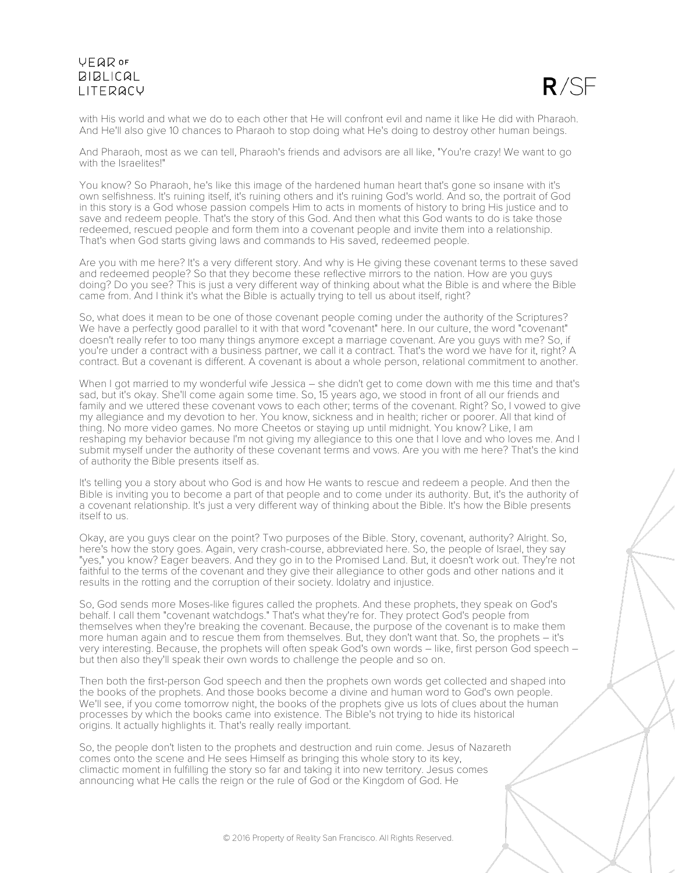# UFQDOF **BIBLICAL I ITFRACY**



with His world and what we do to each other that He will confront evil and name it like He did with Pharaoh. And He'll also give 10 chances to Pharaoh to stop doing what He's doing to destroy other human beings.

And Pharaoh, most as we can tell, Pharaoh's friends and advisors are all like, "You're crazy! We want to go with the Israelites!"

You know? So Pharaoh, he's like this image of the hardened human heart that's gone so insane with it's own selfishness. It's ruining itself, it's ruining others and it's ruining God's world. And so, the portrait of God in this story is a God whose passion compels Him to acts in moments of history to bring His justice and to save and redeem people. That's the story of this God. And then what this God wants to do is take those redeemed, rescued people and form them into a covenant people and invite them into a relationship. That's when God starts giving laws and commands to His saved, redeemed people.

Are you with me here? It's a very different story. And why is He giving these covenant terms to these saved and redeemed people? So that they become these reflective mirrors to the nation. How are you guys doing? Do you see? This is just a very different way of thinking about what the Bible is and where the Bible came from. And I think it's what the Bible is actually trying to tell us about itself, right?

So, what does it mean to be one of those covenant people coming under the authority of the Scriptures? We have a perfectly good parallel to it with that word "covenant" here. In our culture, the word "covenant" doesn't really refer to too many things anymore except a marriage covenant. Are you guys with me? So, if you're under a contract with a business partner, we call it a contract. That's the word we have for it, right? A contract. But a covenant is different. A covenant is about a whole person, relational commitment to another.

When I got married to my wonderful wife Jessica – she didn't get to come down with me this time and that's sad, but it's okay. She'll come again some time. So, 15 years ago, we stood in front of all our friends and family and we uttered these covenant vows to each other; terms of the covenant. Right? So, I vowed to give my allegiance and my devotion to her. You know, sickness and in health; richer or poorer. All that kind of thing. No more video games. No more Cheetos or staying up until midnight. You know? Like, I am reshaping my behavior because I'm not giving my allegiance to this one that I love and who loves me. And I submit myself under the authority of these covenant terms and vows. Are you with me here? That's the kind of authority the Bible presents itself as.

It's telling you a story about who God is and how He wants to rescue and redeem a people. And then the Bible is inviting you to become a part of that people and to come under its authority. But, it's the authority of a covenant relationship. It's just a very different way of thinking about the Bible. It's how the Bible presents itself to us.

Okay, are you guys clear on the point? Two purposes of the Bible. Story, covenant, authority? Alright. So, here's how the story goes. Again, very crash-course, abbreviated here. So, the people of Israel, they say "yes," you know? Eager beavers. And they go in to the Promised Land. But, it doesn't work out. They're not faithful to the terms of the covenant and they give their allegiance to other gods and other nations and it results in the rotting and the corruption of their society. Idolatry and injustice.

So, God sends more Moses-like figures called the prophets. And these prophets, they speak on God's behalf. I call them "covenant watchdogs." That's what they're for. They protect God's people from themselves when they're breaking the covenant. Because, the purpose of the covenant is to make them more human again and to rescue them from themselves. But, they don't want that. So, the prophets – it's very interesting. Because, the prophets will often speak God's own words – like, first person God speech – but then also they'll speak their own words to challenge the people and so on.

Then both the first-person God speech and then the prophets own words get collected and shaped into the books of the prophets. And those books become a divine and human word to God's own people. We'll see, if you come tomorrow night, the books of the prophets give us lots of clues about the human processes by which the books came into existence. The Bible's not trying to hide its historical origins. It actually highlights it. That's really really important.

So, the people don't listen to the prophets and destruction and ruin come. Jesus of Nazareth comes onto the scene and He sees Himself as bringing this whole story to its key, climactic moment in fulfilling the story so far and taking it into new territory. Jesus comes announcing what He calls the reign or the rule of God or the Kingdom of God. He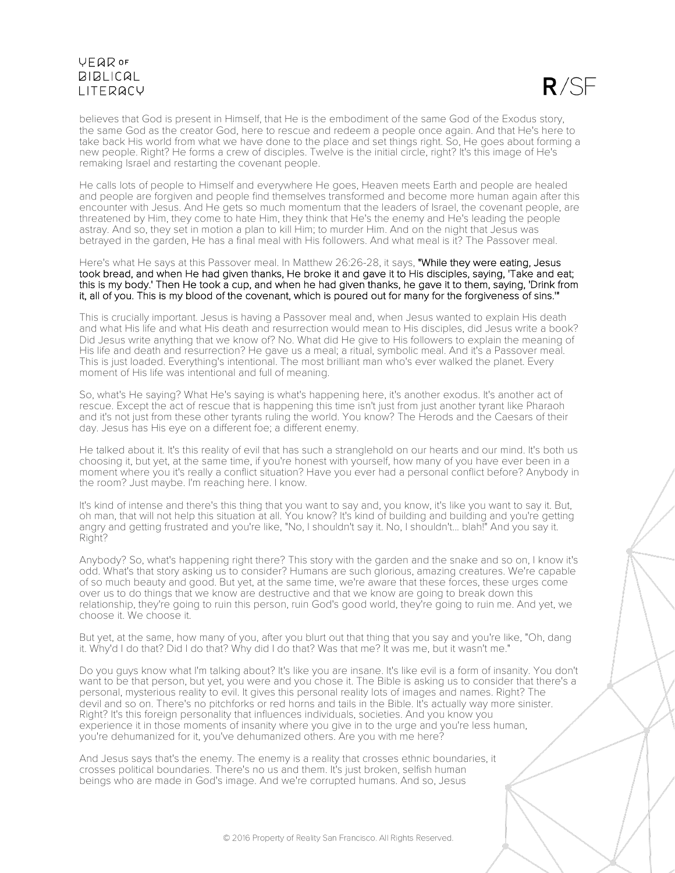$R/SE$ 

believes that God is present in Himself, that He is the embodiment of the same God of the Exodus story, the same God as the creator God, here to rescue and redeem a people once again. And that He's here to take back His world from what we have done to the place and set things right. So, He goes about forming a new people. Right? He forms a crew of disciples. Twelve is the initial circle, right? It's this image of He's remaking Israel and restarting the covenant people.

He calls lots of people to Himself and everywhere He goes, Heaven meets Earth and people are healed and people are forgiven and people find themselves transformed and become more human again after this encounter with Jesus. And He gets so much momentum that the leaders of Israel, the covenant people, are threatened by Him, they come to hate Him, they think that He's the enemy and He's leading the people astray. And so, they set in motion a plan to kill Him; to murder Him. And on the night that Jesus was betrayed in the garden, He has a final meal with His followers. And what meal is it? The Passover meal.

Here's what He says at this Passover meal. In Matthew 26:26-28, it says, "While they were eating, Jesus took bread, and when He had given thanks, He broke it and gave it to His disciples, saying, 'Take and eat; this is my body.' Then He took a cup, and when he had given thanks, he gave it to them, saying, 'Drink from it, all of you. This is my blood of the covenant, which is poured out for many for the forgiveness of sins.'"

This is crucially important. Jesus is having a Passover meal and, when Jesus wanted to explain His death and what His life and what His death and resurrection would mean to His disciples, did Jesus write a book? Did Jesus write anything that we know of? No. What did He give to His followers to explain the meaning of His life and death and resurrection? He gave us a meal; a ritual, symbolic meal. And it's a Passover meal. This is just loaded. Everything's intentional. The most brilliant man who's ever walked the planet. Every moment of His life was intentional and full of meaning.

So, what's He saying? What He's saying is what's happening here, it's another exodus. It's another act of rescue. Except the act of rescue that is happening this time isn't just from just another tyrant like Pharaoh and it's not just from these other tyrants ruling the world. You know? The Herods and the Caesars of their day. Jesus has His eye on a different foe; a different enemy.

He talked about it. It's this reality of evil that has such a stranglehold on our hearts and our mind. It's both us choosing it, but yet, at the same time, if you're honest with yourself, how many of you have ever been in a moment where you it's really a conflict situation? Have you ever had a personal conflict before? Anybody in the room? Just maybe. I'm reaching here. I know.

It's kind of intense and there's this thing that you want to say and, you know, it's like you want to say it. But, oh man, that will not help this situation at all. You know? It's kind of building and building and you're getting angry and getting frustrated and you're like, "No, I shouldn't say it. No, I shouldn't... blah!" And you say it. Right?

Anybody? So, what's happening right there? This story with the garden and the snake and so on, I know it's odd. What's that story asking us to consider? Humans are such glorious, amazing creatures. We're capable of so much beauty and good. But yet, at the same time, we're aware that these forces, these urges come over us to do things that we know are destructive and that we know are going to break down this relationship, they're going to ruin this person, ruin God's good world, they're going to ruin me. And yet, we choose it. We choose it.

But yet, at the same, how many of you, after you blurt out that thing that you say and you're like, "Oh, dang it. Why'd I do that? Did I do that? Why did I do that? Was that me? It was me, but it wasn't me."

Do you guys know what I'm talking about? It's like you are insane. It's like evil is a form of insanity. You don't want to be that person, but yet, you were and you chose it. The Bible is asking us to consider that there's a personal, mysterious reality to evil. It gives this personal reality lots of images and names. Right? The devil and so on. There's no pitchforks or red horns and tails in the Bible. It's actually way more sinister. Right? It's this foreign personality that influences individuals, societies. And you know you experience it in those moments of insanity where you give in to the urge and you're less human, you're dehumanized for it, you've dehumanized others. Are you with me here?

And Jesus says that's the enemy. The enemy is a reality that crosses ethnic boundaries, it crosses political boundaries. There's no us and them. It's just broken, selfish human beings who are made in God's image. And we're corrupted humans. And so, Jesus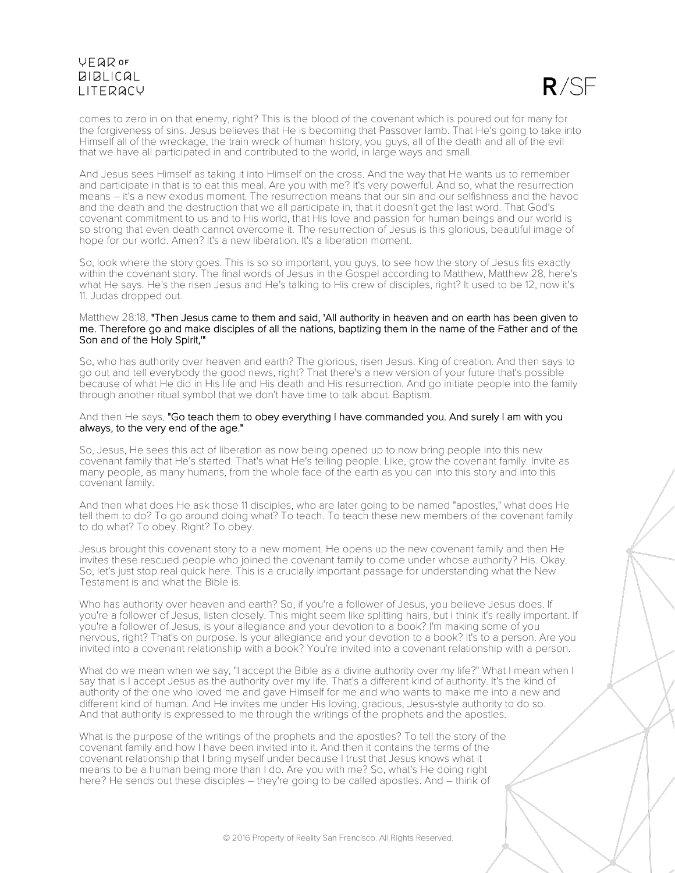$R/SE$ 

comes to zero in on that enemy, right? This is the blood of the covenant which is poured out for many for the forgiveness of sins. Jesus believes that He is becoming that Passover lamb. That He's going to take into Himself all of the wreckage, the train wreck of human history, you guys, all of the death and all of the evil that we have all participated in and contributed to the world, in large ways and small.

And Jesus sees Himself as taking it into Himself on the cross. And the way that He wants us to remember and participate in that is to eat this meal. Are you with me? It's very powerful. And so, what the resurrection means – it's a new exodus moment. The resurrection means that our sin and our selfishness and the havoc and the death and the destruction that we all participate in, that it doesn't get the last word. That God's covenant commitment to us and to His world, that His love and passion for human beings and our world is so strong that even death cannot overcome it. The resurrection of Jesus is this glorious, beautiful image of hope for our world. Amen? It's a new liberation. It's a liberation moment.

So, look where the story goes. This is so so important, you guys, to see how the story of Jesus fits exactly within the covenant story. The final words of Jesus in the Gospel according to Matthew, Matthew 28, here's what He says. He's the risen Jesus and He's talking to His crew of disciples, right? It used to be 12, now it's 11. Judas dropped out.

#### Matthew 28:18, "Then Jesus came to them and said, 'All authority in heaven and on earth has been given to me. Therefore go and make disciples of all the nations, baptizing them in the name of the Father and of the Son and of the Holy Spirit,'"

So, who has authority over heaven and earth? The glorious, risen Jesus. King of creation. And then says to go out and tell everybody the good news, right? That there's a new version of your future that's possible because of what He did in His life and His death and His resurrection. And go initiate people into the family through another ritual symbol that we don't have time to talk about. Baptism.

### And then He says, "Go teach them to obey everything I have commanded you. And surely I am with you always, to the very end of the age."

So, Jesus, He sees this act of liberation as now being opened up to now bring people into this new covenant family that He's started. That's what He's telling people. Like, grow the covenant family. Invite as many people, as many humans, from the whole face of the earth as you can into this story and into this covenant family.

And then what does He ask those 11 disciples, who are later going to be named "apostles," what does He tell them to do? To go around doing what? To teach. To teach these new members of the covenant family to do what? To obey. Right? To obey.

Jesus brought this covenant story to a new moment. He opens up the new covenant family and then He invites these rescued people who joined the covenant family to come under whose authority? His. Okay. So, let's just stop real quick here. This is a crucially important passage for understanding what the New Testament is and what the Bible is.

Who has authority over heaven and earth? So, if you're a follower of Jesus, you believe Jesus does. If you're a follower of Jesus, listen closely. This might seem like splitting hairs, but I think it's really important. If you're a follower of Jesus, is your allegiance and your devotion to a book? I'm making some of you nervous, right? That's on purpose. Is your allegiance and your devotion to a book? It's to a person. Are you invited into a covenant relationship with a book? You're invited into a covenant relationship with a person.

What do we mean when we say, "I accept the Bible as a divine authority over my life?" What I mean when I say that is I accept Jesus as the authority over my life. That's a different kind of authority. It's the kind of authority of the one who loved me and gave Himself for me and who wants to make me into a new and different kind of human. And He invites me under His loving, gracious, Jesus-style authority to do so. And that authority is expressed to me through the writings of the prophets and the apostles.

What is the purpose of the writings of the prophets and the apostles? To tell the story of the covenant family and how I have been invited into it. And then it contains the terms of the covenant relationship that I bring myself under because I trust that Jesus knows what it means to be a human being more than I do. Are you with me? So, what's He doing right here? He sends out these disciples – they're going to be called apostles. And – think of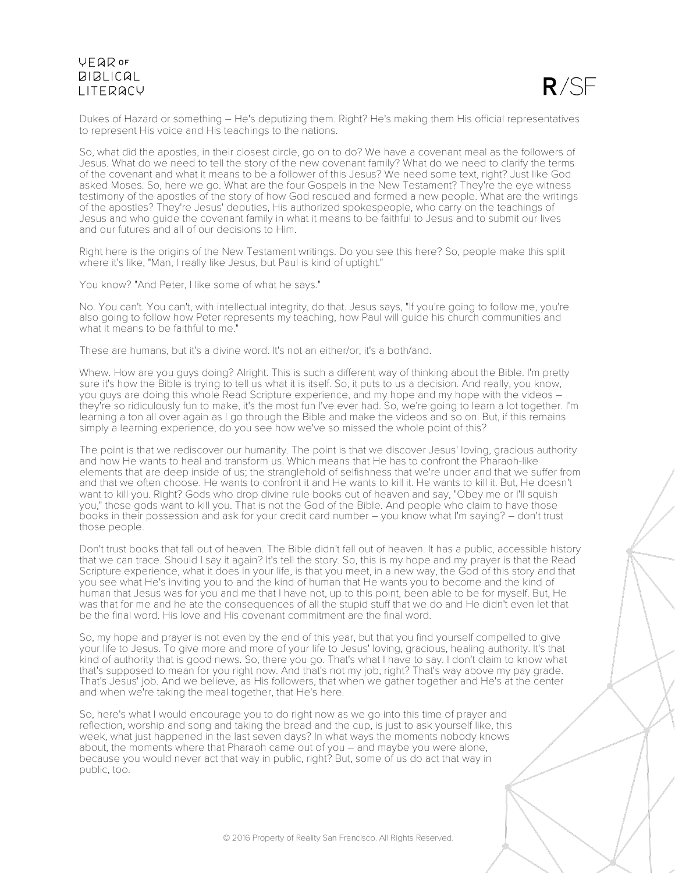

Dukes of Hazard or something – He's deputizing them. Right? He's making them His official representatives to represent His voice and His teachings to the nations.

So, what did the apostles, in their closest circle, go on to do? We have a covenant meal as the followers of Jesus. What do we need to tell the story of the new covenant family? What do we need to clarify the terms of the covenant and what it means to be a follower of this Jesus? We need some text, right? Just like God asked Moses. So, here we go. What are the four Gospels in the New Testament? They're the eye witness testimony of the apostles of the story of how God rescued and formed a new people. What are the writings of the apostles? They're Jesus' deputies, His authorized spokespeople, who carry on the teachings of Jesus and who guide the covenant family in what it means to be faithful to Jesus and to submit our lives and our futures and all of our decisions to Him.

Right here is the origins of the New Testament writings. Do you see this here? So, people make this split where it's like, "Man, I really like Jesus, but Paul is kind of uptight."

You know? "And Peter, I like some of what he says."

No. You can't. You can't, with intellectual integrity, do that. Jesus says, "If you're going to follow me, you're also going to follow how Peter represents my teaching, how Paul will guide his church communities and what it means to be faithful to me."

These are humans, but it's a divine word. It's not an either/or, it's a both/and.

Whew. How are you guys doing? Alright. This is such a different way of thinking about the Bible. I'm pretty sure it's how the Bible is trying to tell us what it is itself. So, it puts to us a decision. And really, you know, you guys are doing this whole Read Scripture experience, and my hope and my hope with the videos – they're so ridiculously fun to make, it's the most fun I've ever had. So, we're going to learn a lot together. I'm learning a ton all over again as I go through the Bible and make the videos and so on. But, if this remains simply a learning experience, do you see how we've so missed the whole point of this?

The point is that we rediscover our humanity. The point is that we discover Jesus' loving, gracious authority and how He wants to heal and transform us. Which means that He has to confront the Pharaoh-like elements that are deep inside of us; the stranglehold of selfishness that we're under and that we suffer from and that we often choose. He wants to confront it and He wants to kill it. He wants to kill it. But, He doesn't want to kill you. Right? Gods who drop divine rule books out of heaven and say, "Obey me or I'll squish you," those gods want to kill you. That is not the God of the Bible. And people who claim to have those books in their possession and ask for your credit card number – you know what I'm saying? – don't trust those people.

Don't trust books that fall out of heaven. The Bible didn't fall out of heaven. It has a public, accessible history that we can trace. Should I say it again? It's tell the story. So, this is my hope and my prayer is that the Read Scripture experience, what it does in your life, is that you meet, in a new way, the God of this story and that you see what He's inviting you to and the kind of human that He wants you to become and the kind of human that Jesus was for you and me that I have not, up to this point, been able to be for myself. But, He was that for me and he ate the consequences of all the stupid stuff that we do and He didn't even let that be the final word. His love and His covenant commitment are the final word.

So, my hope and prayer is not even by the end of this year, but that you find yourself compelled to give your life to Jesus. To give more and more of your life to Jesus' loving, gracious, healing authority. It's that kind of authority that is good news. So, there you go. That's what I have to say. I don't claim to know what that's supposed to mean for you right now. And that's not my job, right? That's way above my pay grade. That's Jesus' job. And we believe, as His followers, that when we gather together and He's at the center and when we're taking the meal together, that He's here.

So, here's what I would encourage you to do right now as we go into this time of prayer and reflection, worship and song and taking the bread and the cup, is just to ask yourself like, this week, what just happened in the last seven days? In what ways the moments nobody knows about, the moments where that Pharaoh came out of you – and maybe you were alone, because you would never act that way in public, right? But, some of us do act that way in public, too.